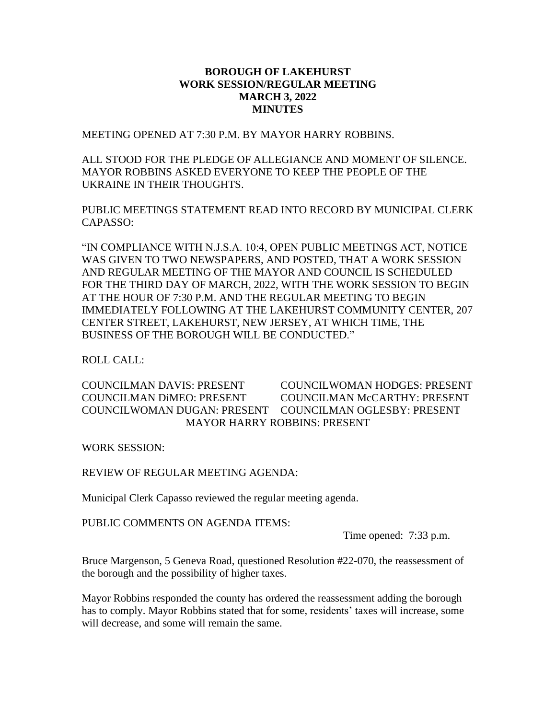## **BOROUGH OF LAKEHURST WORK SESSION/REGULAR MEETING MARCH 3, 2022 MINUTES**

MEETING OPENED AT 7:30 P.M. BY MAYOR HARRY ROBBINS.

ALL STOOD FOR THE PLEDGE OF ALLEGIANCE AND MOMENT OF SILENCE. MAYOR ROBBINS ASKED EVERYONE TO KEEP THE PEOPLE OF THE UKRAINE IN THEIR THOUGHTS.

PUBLIC MEETINGS STATEMENT READ INTO RECORD BY MUNICIPAL CLERK CAPASSO:

"IN COMPLIANCE WITH N.J.S.A. 10:4, OPEN PUBLIC MEETINGS ACT, NOTICE WAS GIVEN TO TWO NEWSPAPERS, AND POSTED, THAT A WORK SESSION AND REGULAR MEETING OF THE MAYOR AND COUNCIL IS SCHEDULED FOR THE THIRD DAY OF MARCH, 2022, WITH THE WORK SESSION TO BEGIN AT THE HOUR OF 7:30 P.M. AND THE REGULAR MEETING TO BEGIN IMMEDIATELY FOLLOWING AT THE LAKEHURST COMMUNITY CENTER, 207 CENTER STREET, LAKEHURST, NEW JERSEY, AT WHICH TIME, THE BUSINESS OF THE BOROUGH WILL BE CONDUCTED."

ROLL CALL:

COUNCILMAN DAVIS: PRESENT COUNCILWOMAN HODGES: PRESENT COUNCILMAN DiMEO: PRESENT COUNCILMAN McCARTHY: PRESENT COUNCILWOMAN DUGAN: PRESENT COUNCILMAN OGLESBY: PRESENT MAYOR HARRY ROBBINS: PRESENT

WORK SESSION:

REVIEW OF REGULAR MEETING AGENDA:

Municipal Clerk Capasso reviewed the regular meeting agenda.

PUBLIC COMMENTS ON AGENDA ITEMS:

Time opened: 7:33 p.m.

Bruce Margenson, 5 Geneva Road, questioned Resolution #22-070, the reassessment of the borough and the possibility of higher taxes.

Mayor Robbins responded the county has ordered the reassessment adding the borough has to comply. Mayor Robbins stated that for some, residents' taxes will increase, some will decrease, and some will remain the same.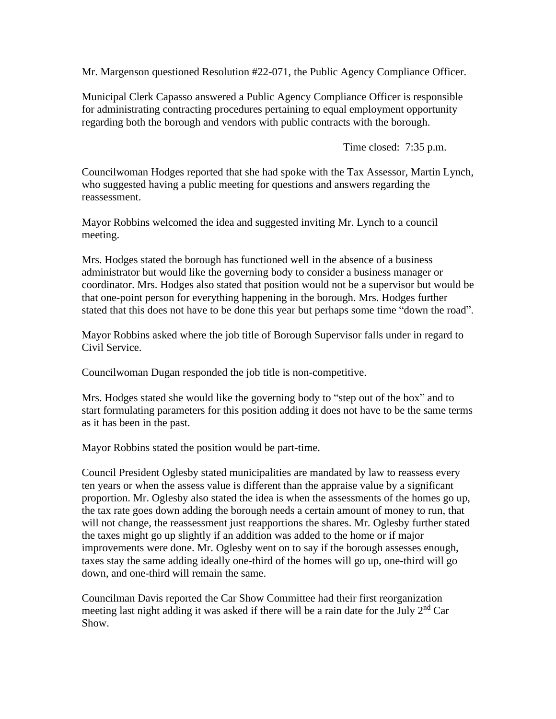Mr. Margenson questioned Resolution #22-071, the Public Agency Compliance Officer.

Municipal Clerk Capasso answered a Public Agency Compliance Officer is responsible for administrating contracting procedures pertaining to equal employment opportunity regarding both the borough and vendors with public contracts with the borough.

Time closed: 7:35 p.m.

Councilwoman Hodges reported that she had spoke with the Tax Assessor, Martin Lynch, who suggested having a public meeting for questions and answers regarding the reassessment.

Mayor Robbins welcomed the idea and suggested inviting Mr. Lynch to a council meeting.

Mrs. Hodges stated the borough has functioned well in the absence of a business administrator but would like the governing body to consider a business manager or coordinator. Mrs. Hodges also stated that position would not be a supervisor but would be that one-point person for everything happening in the borough. Mrs. Hodges further stated that this does not have to be done this year but perhaps some time "down the road".

Mayor Robbins asked where the job title of Borough Supervisor falls under in regard to Civil Service.

Councilwoman Dugan responded the job title is non-competitive.

Mrs. Hodges stated she would like the governing body to "step out of the box" and to start formulating parameters for this position adding it does not have to be the same terms as it has been in the past.

Mayor Robbins stated the position would be part-time.

Council President Oglesby stated municipalities are mandated by law to reassess every ten years or when the assess value is different than the appraise value by a significant proportion. Mr. Oglesby also stated the idea is when the assessments of the homes go up, the tax rate goes down adding the borough needs a certain amount of money to run, that will not change, the reassessment just reapportions the shares. Mr. Oglesby further stated the taxes might go up slightly if an addition was added to the home or if major improvements were done. Mr. Oglesby went on to say if the borough assesses enough, taxes stay the same adding ideally one-third of the homes will go up, one-third will go down, and one-third will remain the same.

Councilman Davis reported the Car Show Committee had their first reorganization meeting last night adding it was asked if there will be a rain date for the July 2<sup>nd</sup> Car Show.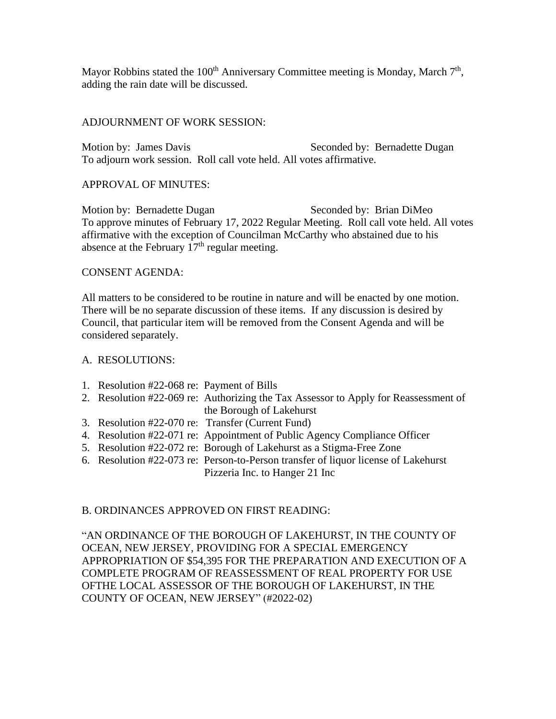Mayor Robbins stated the 100<sup>th</sup> Anniversary Committee meeting is Monday, March  $7<sup>th</sup>$ , adding the rain date will be discussed.

### ADJOURNMENT OF WORK SESSION:

Motion by: James Davis Seconded by: Bernadette Dugan To adjourn work session. Roll call vote held. All votes affirmative.

## APPROVAL OF MINUTES:

Motion by: Bernadette Dugan Seconded by: Brian DiMeo To approve minutes of February 17, 2022 Regular Meeting. Roll call vote held. All votes affirmative with the exception of Councilman McCarthy who abstained due to his absence at the February  $17<sup>th</sup>$  regular meeting.

#### CONSENT AGENDA:

All matters to be considered to be routine in nature and will be enacted by one motion. There will be no separate discussion of these items. If any discussion is desired by Council, that particular item will be removed from the Consent Agenda and will be considered separately.

#### A. RESOLUTIONS:

- 1. Resolution #22-068 re: Payment of Bills
- 2. Resolution #22-069 re: Authorizing the Tax Assessor to Apply for Reassessment of the Borough of Lakehurst
- 3. Resolution #22-070 re: Transfer (Current Fund)
- 4. Resolution #22-071 re: Appointment of Public Agency Compliance Officer
- 5. Resolution #22-072 re: Borough of Lakehurst as a Stigma-Free Zone
- 6. Resolution #22-073 re: Person-to-Person transfer of liquor license of Lakehurst Pizzeria Inc. to Hanger 21 Inc

# B. ORDINANCES APPROVED ON FIRST READING:

"AN ORDINANCE OF THE BOROUGH OF LAKEHURST, IN THE COUNTY OF OCEAN, NEW JERSEY, PROVIDING FOR A SPECIAL EMERGENCY APPROPRIATION OF \$54,395 FOR THE PREPARATION AND EXECUTION OF A COMPLETE PROGRAM OF REASSESSMENT OF REAL PROPERTY FOR USE OFTHE LOCAL ASSESSOR OF THE BOROUGH OF LAKEHURST, IN THE COUNTY OF OCEAN, NEW JERSEY" (#2022-02)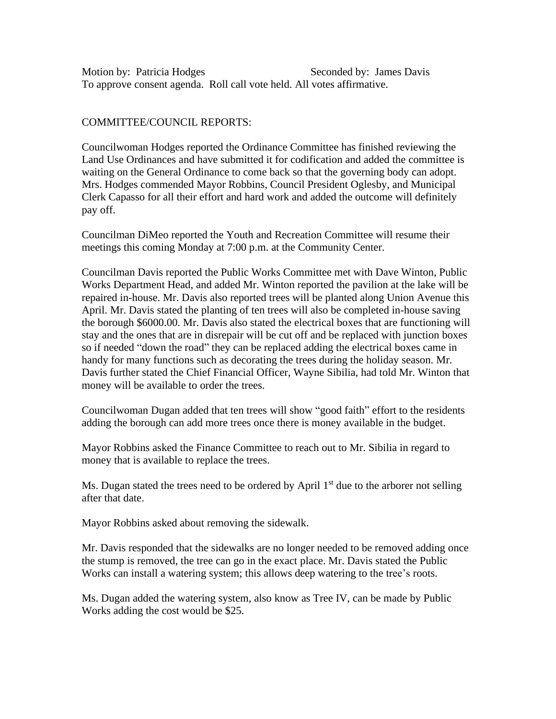Motion by: Patricia Hodges Seconded by: James Davis To approve consent agenda. Roll call vote held. All votes affirmative.

## COMMITTEE/COUNCIL REPORTS:

Councilwoman Hodges reported the Ordinance Committee has finished reviewing the Land Use Ordinances and have submitted it for codification and added the committee is waiting on the General Ordinance to come back so that the governing body can adopt. Mrs. Hodges commended Mayor Robbins, Council President Oglesby, and Municipal Clerk Capasso for all their effort and hard work and added the outcome will definitely pay off.

Councilman DiMeo reported the Youth and Recreation Committee will resume their meetings this coming Monday at 7:00 p.m. at the Community Center.

Councilman Davis reported the Public Works Committee met with Dave Winton, Public Works Department Head, and added Mr. Winton reported the pavilion at the lake will be repaired in-house. Mr. Davis also reported trees will be planted along Union Avenue this April. Mr. Davis stated the planting of ten trees will also be completed in-house saving the borough \$6000.00. Mr. Davis also stated the electrical boxes that are functioning will stay and the ones that are in disrepair will be cut off and be replaced with junction boxes so if needed "down the road" they can be replaced adding the electrical boxes came in handy for many functions such as decorating the trees during the holiday season. Mr. Davis further stated the Chief Financial Officer, Wayne Sibilia, had told Mr. Winton that money will be available to order the trees.

Councilwoman Dugan added that ten trees will show "good faith" effort to the residents adding the borough can add more trees once there is money available in the budget.

Mayor Robbins asked the Finance Committee to reach out to Mr. Sibilia in regard to money that is available to replace the trees.

Ms. Dugan stated the trees need to be ordered by April  $1<sup>st</sup>$  due to the arborer not selling after that date.

Mayor Robbins asked about removing the sidewalk.

Mr. Davis responded that the sidewalks are no longer needed to be removed adding once the stump is removed, the tree can go in the exact place. Mr. Davis stated the Public Works can install a watering system; this allows deep watering to the tree's roots.

Ms. Dugan added the watering system, also know as Tree IV, can be made by Public Works adding the cost would be \$25.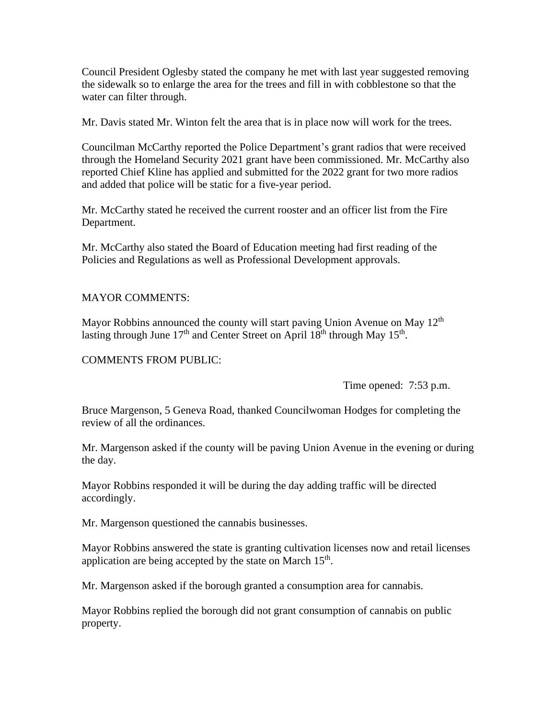Council President Oglesby stated the company he met with last year suggested removing the sidewalk so to enlarge the area for the trees and fill in with cobblestone so that the water can filter through.

Mr. Davis stated Mr. Winton felt the area that is in place now will work for the trees.

Councilman McCarthy reported the Police Department's grant radios that were received through the Homeland Security 2021 grant have been commissioned. Mr. McCarthy also reported Chief Kline has applied and submitted for the 2022 grant for two more radios and added that police will be static for a five-year period.

Mr. McCarthy stated he received the current rooster and an officer list from the Fire Department.

Mr. McCarthy also stated the Board of Education meeting had first reading of the Policies and Regulations as well as Professional Development approvals.

## MAYOR COMMENTS:

Mayor Robbins announced the county will start paving Union Avenue on May 12<sup>th</sup> lasting through June  $17<sup>th</sup>$  and Center Street on April  $18<sup>th</sup>$  through May  $15<sup>th</sup>$ .

#### COMMENTS FROM PUBLIC:

Time opened: 7:53 p.m.

Bruce Margenson, 5 Geneva Road, thanked Councilwoman Hodges for completing the review of all the ordinances.

Mr. Margenson asked if the county will be paving Union Avenue in the evening or during the day.

Mayor Robbins responded it will be during the day adding traffic will be directed accordingly.

Mr. Margenson questioned the cannabis businesses.

Mayor Robbins answered the state is granting cultivation licenses now and retail licenses application are being accepted by the state on March  $15<sup>th</sup>$ .

Mr. Margenson asked if the borough granted a consumption area for cannabis.

Mayor Robbins replied the borough did not grant consumption of cannabis on public property.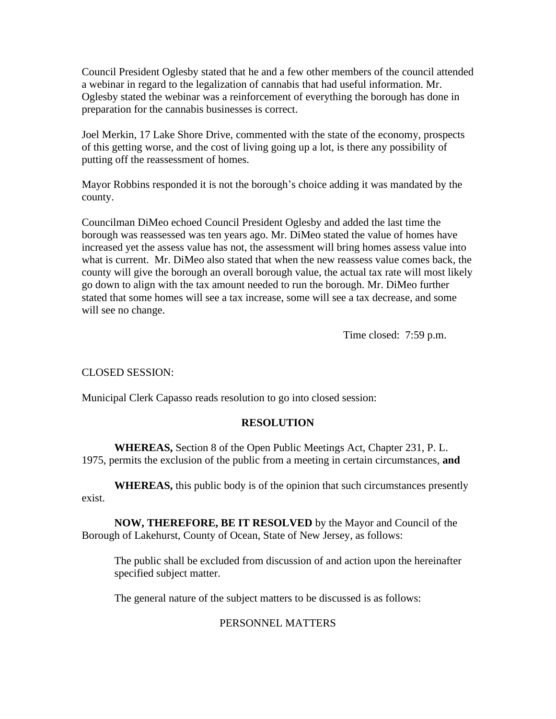Council President Oglesby stated that he and a few other members of the council attended a webinar in regard to the legalization of cannabis that had useful information. Mr. Oglesby stated the webinar was a reinforcement of everything the borough has done in preparation for the cannabis businesses is correct.

Joel Merkin, 17 Lake Shore Drive, commented with the state of the economy, prospects of this getting worse, and the cost of living going up a lot, is there any possibility of putting off the reassessment of homes.

Mayor Robbins responded it is not the borough's choice adding it was mandated by the county.

Councilman DiMeo echoed Council President Oglesby and added the last time the borough was reassessed was ten years ago. Mr. DiMeo stated the value of homes have increased yet the assess value has not, the assessment will bring homes assess value into what is current. Mr. DiMeo also stated that when the new reassess value comes back, the county will give the borough an overall borough value, the actual tax rate will most likely go down to align with the tax amount needed to run the borough. Mr. DiMeo further stated that some homes will see a tax increase, some will see a tax decrease, and some will see no change.

Time closed: 7:59 p.m.

CLOSED SESSION:

Municipal Clerk Capasso reads resolution to go into closed session:

# **RESOLUTION**

**WHEREAS,** Section 8 of the Open Public Meetings Act, Chapter 231, P. L. 1975, permits the exclusion of the public from a meeting in certain circumstances, **and**

**WHEREAS,** this public body is of the opinion that such circumstances presently exist.

**NOW, THEREFORE, BE IT RESOLVED** by the Mayor and Council of the Borough of Lakehurst, County of Ocean, State of New Jersey, as follows:

The public shall be excluded from discussion of and action upon the hereinafter specified subject matter.

The general nature of the subject matters to be discussed is as follows:

# PERSONNEL MATTERS